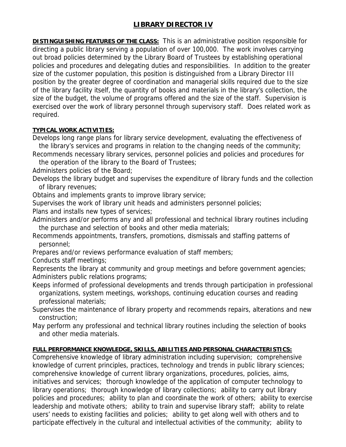## **LIBRARY DIRECTOR IV**

**DISTINGUISHING FEATURES OF THE CLASS:** This is an administrative position responsible for directing a public library serving a population of over 100,000. The work involves carrying out broad policies determined by the Library Board of Trustees by establishing operational policies and procedures and delegating duties and responsibilities. In addition to the greater size of the customer population, this position is distinguished from a Library Director III position by the greater degree of coordination and managerial skills required due to the size of the library facility itself, the quantity of books and materials in the library's collection, the size of the budget, the volume of programs offered and the size of the staff. Supervision is exercised over the work of library personnel through supervisory staff. Does related work as required.

## **TYPICAL WORK ACTIVITIES:**

Develops long range plans for library service development, evaluating the effectiveness of the library's services and programs in relation to the changing needs of the community;

Recommends necessary library services, personnel policies and policies and procedures for

the operation of the library to the Board of Trustees;

Administers policies of the Board;

Develops the library budget and supervises the expenditure of library funds and the collection of library revenues;

Obtains and implements grants to improve library service;

Supervises the work of library unit heads and administers personnel policies;

Plans and installs new types of services;

Administers and/or performs any and all professional and technical library routines including the purchase and selection of books and other media materials;

Recommends appointments, transfers, promotions, dismissals and staffing patterns of personnel;

Prepares and/or reviews performance evaluation of staff members;

Conducts staff meetings;

Represents the library at community and group meetings and before government agencies; Administers public relations programs;

Keeps informed of professional developments and trends through participation in professional organizations, system meetings, workshops, continuing education courses and reading professional materials;

Supervises the maintenance of library property and recommends repairs, alterations and new construction;

May perform any professional and technical library routines including the selection of books and other media materials.

## **FULL PERFORMANCE KNOWLEDGE, SKILLS, ABILITIES AND PERSONAL CHARACTERISTICS:**

Comprehensive knowledge of library administration including supervision; comprehensive knowledge of current principles, practices, technology and trends in public library sciences; comprehensive knowledge of current library organizations, procedures, policies, aims, initiatives and services; thorough knowledge of the application of computer technology to library operations; thorough knowledge of library collections; ability to carry out library policies and procedures; ability to plan and coordinate the work of others; ability to exercise leadership and motivate others; ability to train and supervise library staff; ability to relate users' needs to existing facilities and policies; ability to get along well with others and to participate effectively in the cultural and intellectual activities of the community; ability to